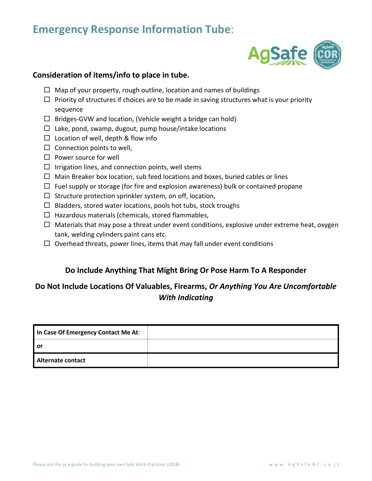## **Emergency Response Information Tube**:



## **Consideration of items/info to place in tube.**

- $\Box$  Map of your property, rough outline, location and names of buildings
- $\Box$  Priority of structures if choices are to be made in saving structures what is your priority sequence
- $\Box$  Bridges-GVW and location, (Vehicle weight a bridge can hold)
- $\Box$  Lake, pond, swamp, dugout, pump house/intake locations
- $\Box$  Location of well, depth & flow info
- $\Box$  Connection points to well,
- $\square$  Power source for well
- $\Box$  Irrigation lines, and connection points, well stems
- $\Box$  Main Breaker box location, sub feed locations and boxes, buried cables or lines
- $\Box$  Fuel supply or storage (for fire and explosion awareness) bulk or contained propane
- $\Box$  Structure protection sprinkler system, on off, location,
- $\Box$  Bladders, stored water locations, pools hot tubs, stock troughs
- $\Box$  Hazardous materials (chemicals, stored flammables,
- $\Box$  Materials that may pose a threat under event conditions, explosive under extreme heat, oxygen tank, welding cylinders paint cans etc.
- $\Box$  Overhead threats, power lines, items that may fall under event conditions

## **Do Include Anything That Might Bring Or Pose Harm To A Responder**

## **Do Not Include Locations Of Valuables, Firearms,** *Or Anything You Are Uncomfortable With Indicating*

| In Case Of Emergency Contact Me At: |  |
|-------------------------------------|--|
| .or                                 |  |
| Alternate contact                   |  |